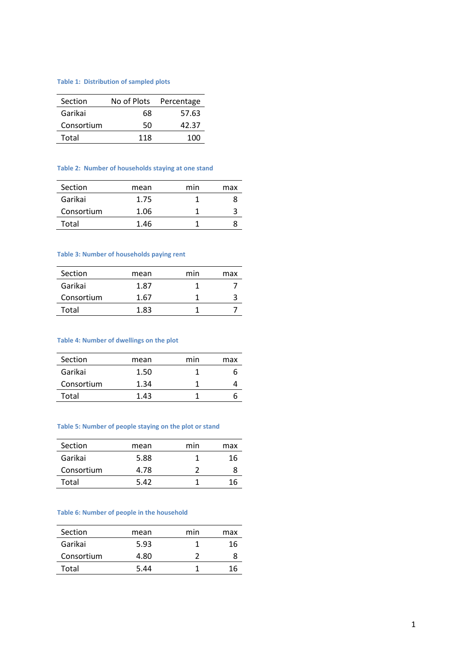### **Table 1: Distribution of sampled plots**

| Section    | No of Plots | Percentage |
|------------|-------------|------------|
| Garikai    | 68          | 57.63      |
| Consortium | 50          | 42.37      |
| Total      | 118         | 100        |

#### **Table 2: Number of households staying at one stand**

| Section    | mean | min | max |
|------------|------|-----|-----|
| Garikai    | 1.75 |     |     |
| Consortium | 1.06 |     |     |
| Total      | 1.46 |     |     |

### **Table 3: Number of households paying rent**

| Section    | mean | min | max |
|------------|------|-----|-----|
| Garikai    | 1.87 |     |     |
| Consortium | 1.67 |     |     |
| Total      | 1.83 |     |     |

### **Table 4: Number of dwellings on the plot**

| Section    | mean | min | max |
|------------|------|-----|-----|
| Garikai    | 1.50 |     |     |
| Consortium | 1.34 |     |     |
| Total      | 1.43 |     |     |

#### **Table 5: Number of people staying on the plot or stand**

| Section    | mean | min | max |
|------------|------|-----|-----|
| Garikai    | 5.88 |     | 16  |
| Consortium | 4.78 |     |     |
| Total      | 5.42 |     | 16  |
|            |      |     |     |

#### **Table 6: Number of people in the household**

| Section    | mean | min | max |
|------------|------|-----|-----|
| Garikai    | 5.93 |     | 16  |
| Consortium | 4.80 |     |     |
| Total      | 5.44 |     | h   |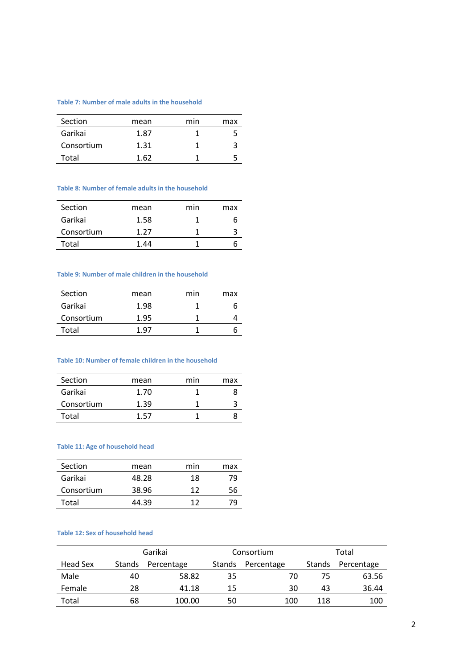# **Table 7: Number of male adults in the household**

| Section    | mean | min | max |
|------------|------|-----|-----|
| Garikai    | 1.87 |     |     |
| Consortium | 1.31 |     |     |
| Total      | 1.62 |     |     |

#### **Table 8: Number of female adults in the household**

| Section    | mean | min | max |
|------------|------|-----|-----|
| Garikai    | 1.58 |     |     |
| Consortium | 1.27 |     |     |
| Total      | 1.44 |     |     |

#### **Table 9: Number of male children in the household**

| mean | min | max |
|------|-----|-----|
| 1.98 |     |     |
| 1.95 |     |     |
| 1 97 |     |     |
|      |     |     |

#### **Table 10: Number of female children in the household**

| Section    | mean | min | max |
|------------|------|-----|-----|
| Garikai    | 1.70 |     |     |
| Consortium | 1.39 |     |     |
| Total      | 1.57 |     |     |

### **Table 11: Age of household head**

| Section    | mean  | min | max |
|------------|-------|-----|-----|
| Garikai    | 48.28 | 18  | 79  |
| Consortium | 38.96 | 12  | 56  |
| Total      | 44.39 | 17  |     |

#### **Table 12: Sex of household head**

|          |        | Garikai    |        | Consortium |               | Total      |
|----------|--------|------------|--------|------------|---------------|------------|
| Head Sex | Stands | Percentage | Stands | Percentage | <b>Stands</b> | Percentage |
| Male     | 40     | 58.82      | 35     | 70         | 75            | 63.56      |
| Female   | 28     | 41.18      | 15     | 30         | 43            | 36.44      |
| Total    | 68     | 100.00     | 50     | 100        | 118           | 100        |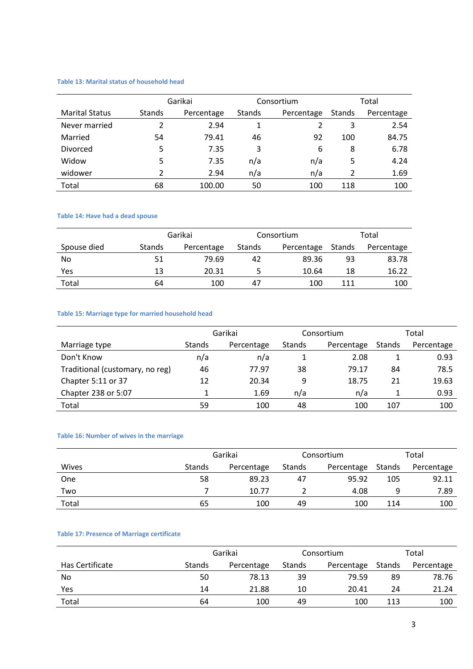# **Table 13: Marital status of household head**

|                       |               | Garikai    |               | Consortium | Total  |            |  |
|-----------------------|---------------|------------|---------------|------------|--------|------------|--|
| <b>Marital Status</b> | <b>Stands</b> | Percentage | <b>Stands</b> | Percentage | Stands | Percentage |  |
| Never married         |               | 2.94       |               |            | 3      | 2.54       |  |
| Married               | 54            | 79.41      | 46            | 92         | 100    | 84.75      |  |
| Divorced              | 5             | 7.35       | 3             | 6          | 8      | 6.78       |  |
| Widow                 | 5             | 7.35       | n/a           | n/a        | 5      | 4.24       |  |
| widower               |               | 2.94       | n/a           | n/a        | 2      | 1.69       |  |
| Total                 | 68            | 100.00     | 50            | 100        | 118    | 100        |  |

### **Table 14: Have had a dead spouse**

|             | Garikai       |            |        | Consortium | Total  |            |  |
|-------------|---------------|------------|--------|------------|--------|------------|--|
| Spouse died | <b>Stands</b> | Percentage | Stands | Percentage | Stands | Percentage |  |
| No          | 51            | 79.69      | 42     | 89.36      | 93     | 83.78      |  |
| Yes         | 13            | 20.31      |        | 10.64      | 18     | 16.22      |  |
| Total       | 64            | 100        | 47     | 100        | 111    | 100        |  |

### **Table 15: Marriage type for married household head**

|                                 | Garikai |            | Consortium |            | Total  |            |
|---------------------------------|---------|------------|------------|------------|--------|------------|
| Marriage type                   | Stands  | Percentage | Stands     | Percentage | Stands | Percentage |
| Don't Know                      | n/a     | n/a        |            | 2.08       |        | 0.93       |
| Traditional (customary, no reg) | 46      | 77.97      | 38         | 79.17      | 84     | 78.5       |
| Chapter 5:11 or 37              | 12      | 20.34      | 9          | 18.75      | 21     | 19.63      |
| Chapter 238 or 5:07             |         | 1.69       | n/a        | n/a        |        | 0.93       |
| Total                           | 59      | 100        | 48         | 100        | 107    | 100        |

# **Table 16: Number of wives in the marriage**

|       |        | Garikai    |        | Consortium |        | Total      |  |
|-------|--------|------------|--------|------------|--------|------------|--|
| Wives | Stands | Percentage | Stands | Percentage | Stands | Percentage |  |
| One   | 58     | 89.23      | 47     | 95.92      | 105    | 92.11      |  |
| Two   |        | 10.77      |        | 4.08       | a      | 7.89       |  |
| Total | 65     | 100        | 49     | 100        | 114    | 100        |  |

# **Table 17: Presence of Marriage certificate**

|                        | Garikai       |            | Consortium |            | Total  |            |
|------------------------|---------------|------------|------------|------------|--------|------------|
| <b>Has Certificate</b> | <b>Stands</b> | Percentage | Stands     | Percentage | Stands | Percentage |
| No.                    | 50            | 78.13      | 39         | 79.59      | 89     | 78.76      |
| Yes                    | 14            | 21.88      | 10         | 20.41      | 24     | 21.24      |
| Total                  | 64            | 100        | 49         | 100        | 113    | 100        |